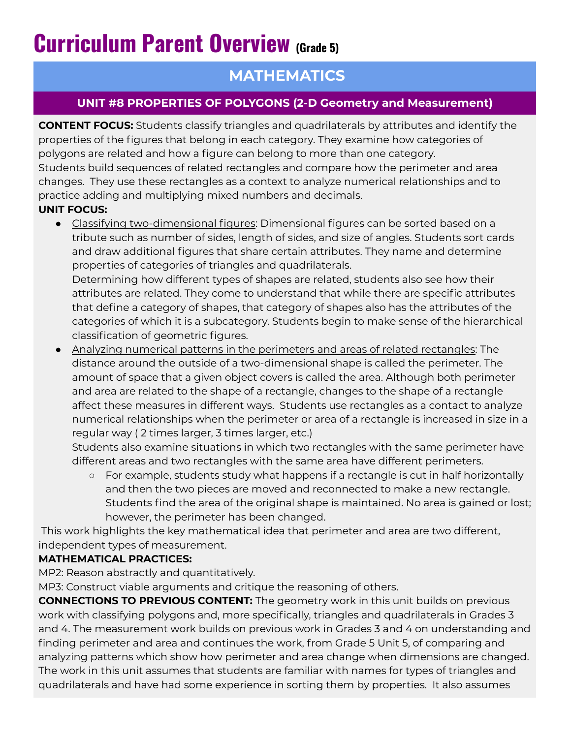# **Curriculum Parent Overview (Grade 5)**

# **MATHEMATICS**

## **UNIT #8 PROPERTIES OF POLYGONS (2-D Geometry and Measurement)**

**CONTENT FOCUS:** Students classify triangles and quadrilaterals by attributes and identify the properties of the figures that belong in each category. They examine how categories of polygons are related and how a figure can belong to more than one category. Students build sequences of related rectangles and compare how the perimeter and area changes. They use these rectangles as a context to analyze numerical relationships and to practice adding and multiplying mixed numbers and decimals.

### **UNIT FOCUS:**

- Classifying two-dimensional figures: Dimensional figures can be sorted based on a tribute such as number of sides, length of sides, and size of angles. Students sort cards and draw additional figures that share certain attributes. They name and determine properties of categories of triangles and quadrilaterals. Determining how different types of shapes are related, students also see how their attributes are related. They come to understand that while there are specific attributes that define a category of shapes, that category of shapes also has the attributes of the categories of which it is a subcategory. Students begin to make sense of the hierarchical classification of geometric figures.
- Analyzing numerical patterns in the perimeters and areas of related rectangles: The distance around the outside of a two-dimensional shape is called the perimeter. The amount of space that a given object covers is called the area. Although both perimeter and area are related to the shape of a rectangle, changes to the shape of a rectangle affect these measures in different ways. Students use rectangles as a contact to analyze numerical relationships when the perimeter or area of a rectangle is increased in size in a regular way ( 2 times larger, 3 times larger, etc.)

Students also examine situations in which two rectangles with the same perimeter have different areas and two rectangles with the same area have different perimeters.

○ For example, students study what happens if a rectangle is cut in half horizontally and then the two pieces are moved and reconnected to make a new rectangle. Students find the area of the original shape is maintained. No area is gained or lost; however, the perimeter has been changed.

This work highlights the key mathematical idea that perimeter and area are two different, independent types of measurement.

#### **MATHEMATICAL PRACTICES:**

MP2: Reason abstractly and quantitatively.

MP3: Construct viable arguments and critique the reasoning of others.

**CONNECTIONS TO PREVIOUS CONTENT:** The geometry work in this unit builds on previous work with classifying polygons and, more specifically, triangles and quadrilaterals in Grades 3 and 4. The measurement work builds on previous work in Grades 3 and 4 on understanding and finding perimeter and area and continues the work, from Grade 5 Unit 5, of comparing and analyzing patterns which show how perimeter and area change when dimensions are changed. The work in this unit assumes that students are familiar with names for types of triangles and quadrilaterals and have had some experience in sorting them by properties. It also assumes